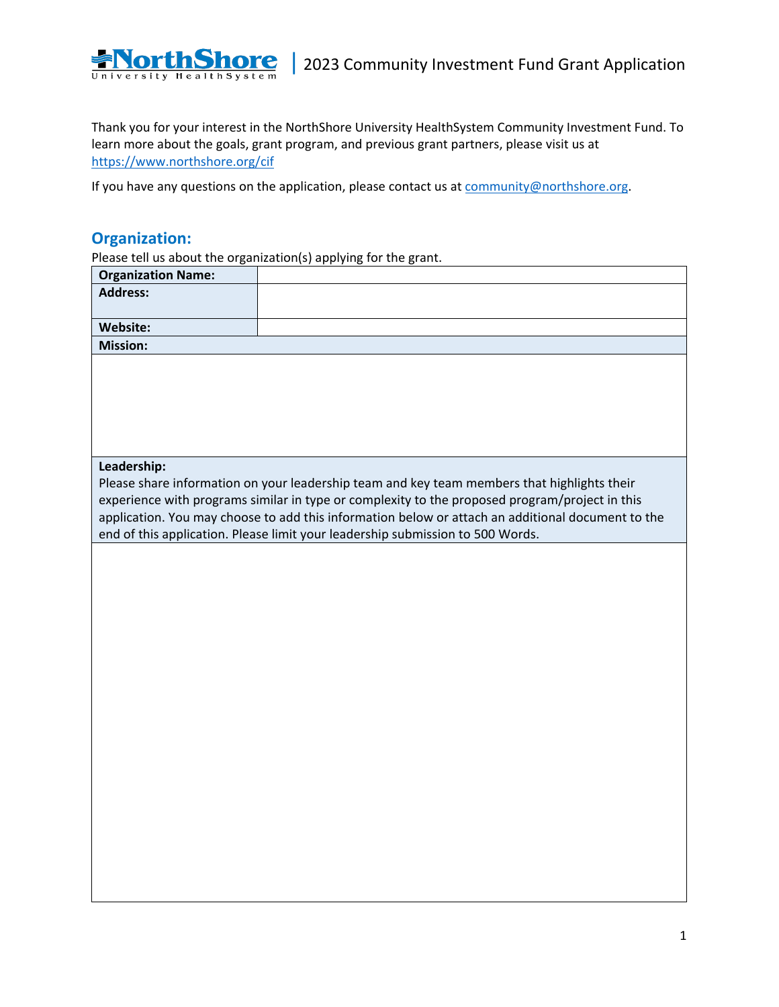

Thank you for your interest in the NorthShore University HealthSystem Community Investment Fund. To learn more about the goals, grant program, and previous grant partners, please visit us at <https://www.northshore.org/cif>

If you have any questions on the application, please contact us a[t community@northshore.org.](mailto:community@northshore.org)

### **Organization:**

Please tell us about the organization(s) applying for the grant.

|                           | Please tell us about the organization(s) applying for the grant.                                                                                                                                    |
|---------------------------|-----------------------------------------------------------------------------------------------------------------------------------------------------------------------------------------------------|
| <b>Organization Name:</b> |                                                                                                                                                                                                     |
| <b>Address:</b>           |                                                                                                                                                                                                     |
|                           |                                                                                                                                                                                                     |
| Website:                  |                                                                                                                                                                                                     |
| <b>Mission:</b>           |                                                                                                                                                                                                     |
|                           |                                                                                                                                                                                                     |
|                           |                                                                                                                                                                                                     |
|                           |                                                                                                                                                                                                     |
|                           |                                                                                                                                                                                                     |
|                           |                                                                                                                                                                                                     |
|                           |                                                                                                                                                                                                     |
| Leadership:               |                                                                                                                                                                                                     |
|                           | Please share information on your leadership team and key team members that highlights their                                                                                                         |
|                           | experience with programs similar in type or complexity to the proposed program/project in this<br>application. You may choose to add this information below or attach an additional document to the |
|                           | end of this application. Please limit your leadership submission to 500 Words.                                                                                                                      |
|                           |                                                                                                                                                                                                     |
|                           |                                                                                                                                                                                                     |
|                           |                                                                                                                                                                                                     |
|                           |                                                                                                                                                                                                     |
|                           |                                                                                                                                                                                                     |
|                           |                                                                                                                                                                                                     |
|                           |                                                                                                                                                                                                     |
|                           |                                                                                                                                                                                                     |
|                           |                                                                                                                                                                                                     |
|                           |                                                                                                                                                                                                     |
|                           |                                                                                                                                                                                                     |
|                           |                                                                                                                                                                                                     |
|                           |                                                                                                                                                                                                     |
|                           |                                                                                                                                                                                                     |
|                           |                                                                                                                                                                                                     |
|                           |                                                                                                                                                                                                     |
|                           |                                                                                                                                                                                                     |
|                           |                                                                                                                                                                                                     |
|                           |                                                                                                                                                                                                     |
|                           |                                                                                                                                                                                                     |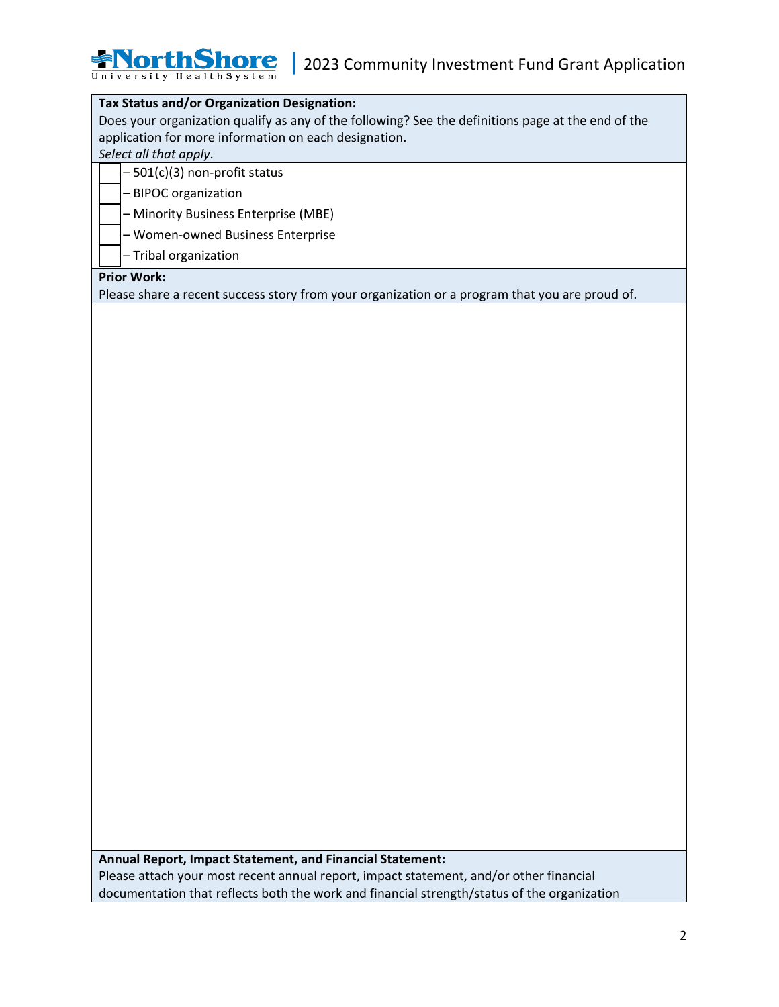### **Tax Status and/or Organization Designation:**

Does your organization qualify as any of the following? See the definitions page at the end of the application for more information on each designation.

*Select all that apply*.

 $-501(c)(3)$  non-profit status

**YorthShore** University HealthSystem

- BIPOC organization

- Minority Business Enterprise (MBE)

- Women-owned Business Enterprise

- Tribal organization

#### **Prior Work:**

Please share a recent success story from your organization or a program that you are proud of.

**Annual Report, Impact Statement, and Financial Statement:**

Please attach your most recent annual report, impact statement, and/or other financial documentation that reflects both the work and financial strength/status of the organization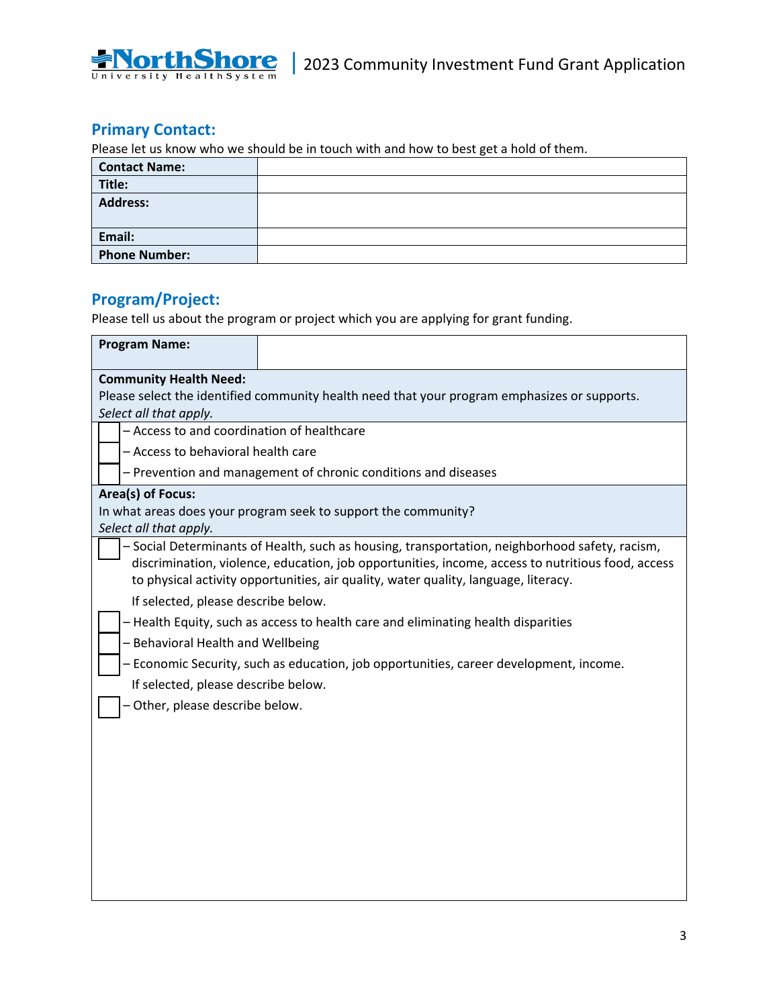# **Primary Contact:**

**NorthShore** University Health System

Please let us know who we should be in touch with and how to best get a hold of them.

| <b>Contact Name:</b> |  |
|----------------------|--|
| Title:               |  |
| <b>Address:</b>      |  |
| Email:               |  |
| <b>Phone Number:</b> |  |

# **Program/Project:**

Please tell us about the program or project which you are applying for grant funding.

| <b>Program Name:</b>                                                                         |                                                                                                                                                                                                                                                                                            |  |  |
|----------------------------------------------------------------------------------------------|--------------------------------------------------------------------------------------------------------------------------------------------------------------------------------------------------------------------------------------------------------------------------------------------|--|--|
| <b>Community Health Need:</b>                                                                |                                                                                                                                                                                                                                                                                            |  |  |
| Please select the identified community health need that your program emphasizes or supports. |                                                                                                                                                                                                                                                                                            |  |  |
| Select all that apply.                                                                       |                                                                                                                                                                                                                                                                                            |  |  |
| - Access to and coordination of healthcare                                                   |                                                                                                                                                                                                                                                                                            |  |  |
| - Access to behavioral health care                                                           |                                                                                                                                                                                                                                                                                            |  |  |
| - Prevention and management of chronic conditions and diseases                               |                                                                                                                                                                                                                                                                                            |  |  |
| Area(s) of Focus:                                                                            |                                                                                                                                                                                                                                                                                            |  |  |
|                                                                                              | In what areas does your program seek to support the community?                                                                                                                                                                                                                             |  |  |
| Select all that apply.                                                                       |                                                                                                                                                                                                                                                                                            |  |  |
|                                                                                              | - Social Determinants of Health, such as housing, transportation, neighborhood safety, racism,<br>discrimination, violence, education, job opportunities, income, access to nutritious food, access<br>to physical activity opportunities, air quality, water quality, language, literacy. |  |  |
| If selected, please describe below.                                                          |                                                                                                                                                                                                                                                                                            |  |  |
| - Health Equity, such as access to health care and eliminating health disparities            |                                                                                                                                                                                                                                                                                            |  |  |
| - Behavioral Health and Wellbeing                                                            |                                                                                                                                                                                                                                                                                            |  |  |
| - Economic Security, such as education, job opportunities, career development, income.       |                                                                                                                                                                                                                                                                                            |  |  |
| If selected, please describe below.                                                          |                                                                                                                                                                                                                                                                                            |  |  |
| Other, please describe below.                                                                |                                                                                                                                                                                                                                                                                            |  |  |
|                                                                                              |                                                                                                                                                                                                                                                                                            |  |  |
|                                                                                              |                                                                                                                                                                                                                                                                                            |  |  |
|                                                                                              |                                                                                                                                                                                                                                                                                            |  |  |
|                                                                                              |                                                                                                                                                                                                                                                                                            |  |  |
|                                                                                              |                                                                                                                                                                                                                                                                                            |  |  |
|                                                                                              |                                                                                                                                                                                                                                                                                            |  |  |
|                                                                                              |                                                                                                                                                                                                                                                                                            |  |  |
|                                                                                              |                                                                                                                                                                                                                                                                                            |  |  |
|                                                                                              |                                                                                                                                                                                                                                                                                            |  |  |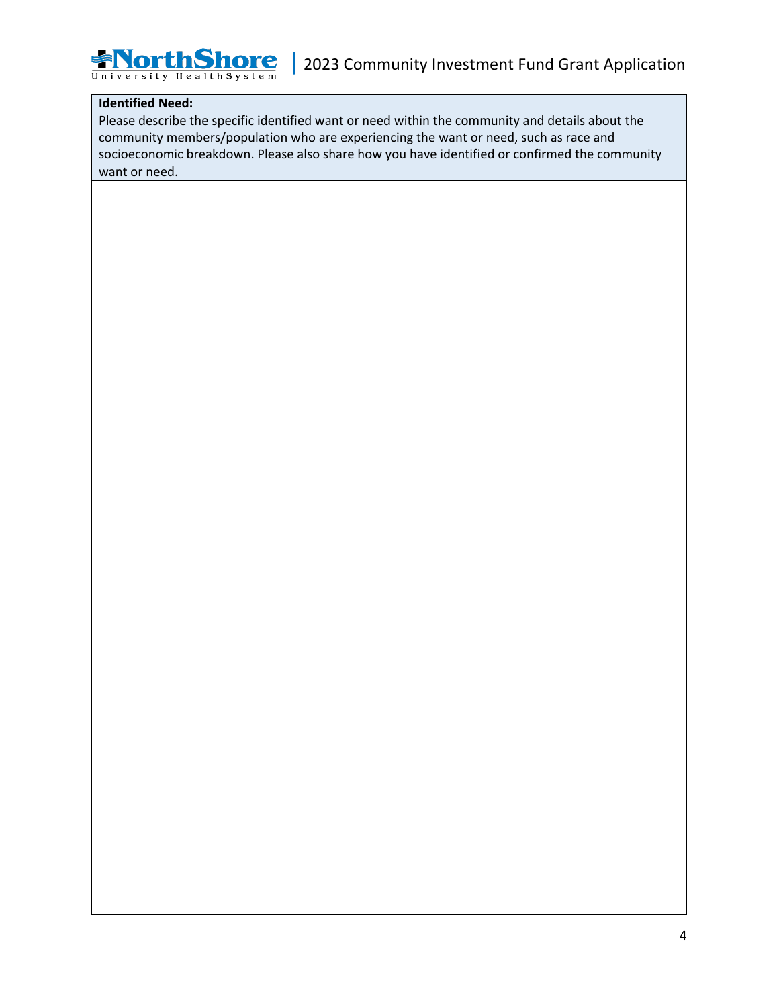#### **Identified Need:**

**NorthShore** University Health System

Please describe the specific identified want or need within the community and details about the community members/population who are experiencing the want or need, such as race and socioeconomic breakdown. Please also share how you have identified or confirmed the community want or need.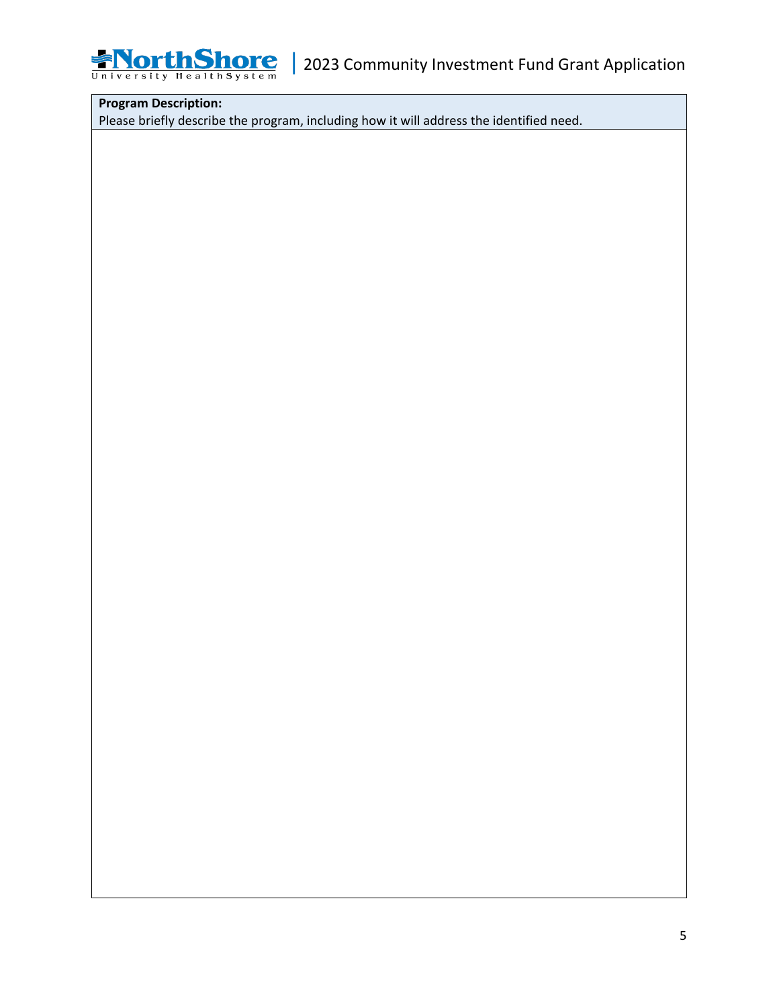

## **Program Description:**

Please briefly describe the program, including how it will address the identified need.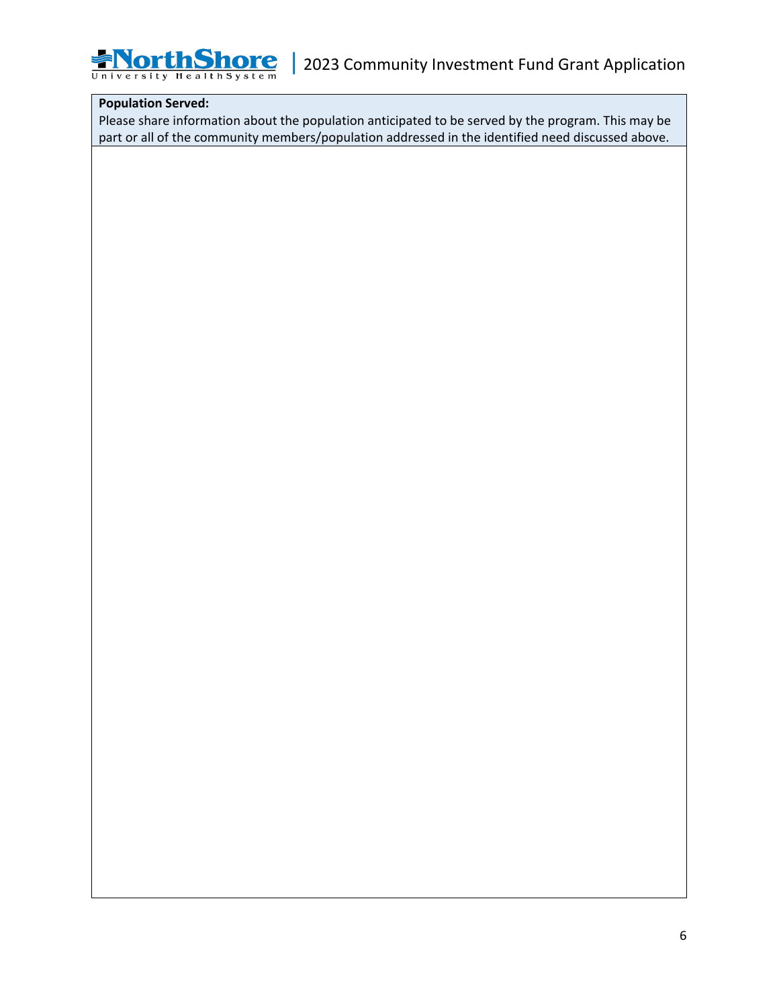

### **Population Served:**

Please share information about the population anticipated to be served by the program. This may be part or all of the community members/population addressed in the identified need discussed above.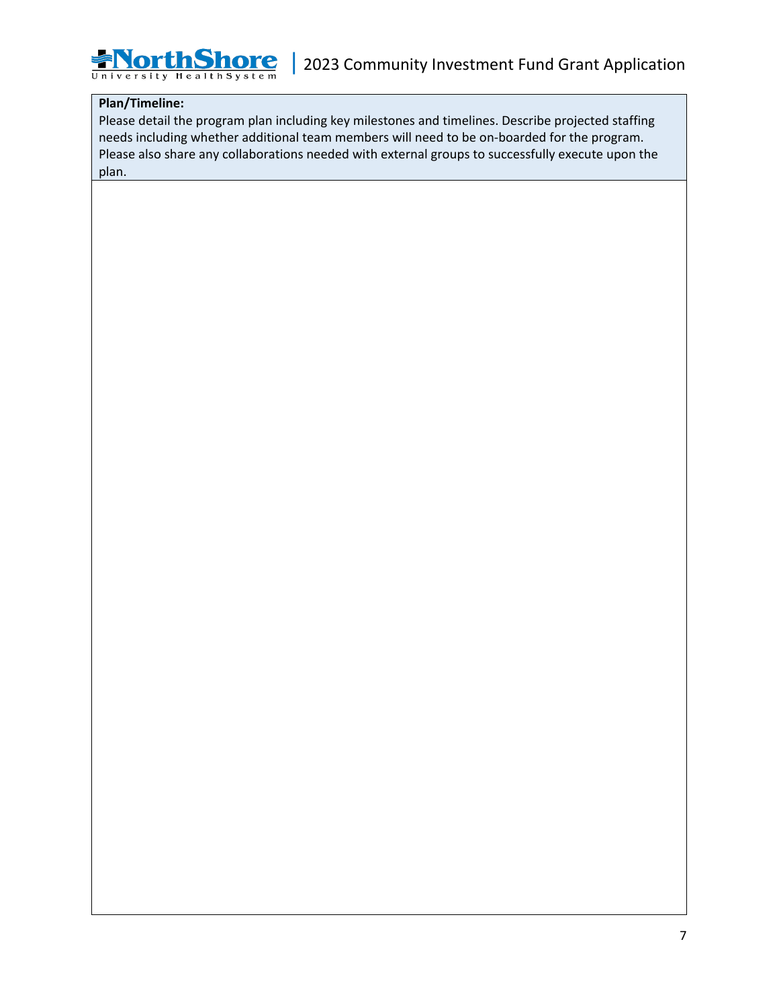#### **Plan/Timeline:**

**NorthShore** University Health System

Please detail the program plan including key milestones and timelines. Describe projected staffing needs including whether additional team members will need to be on-boarded for the program. Please also share any collaborations needed with external groups to successfully execute upon the plan.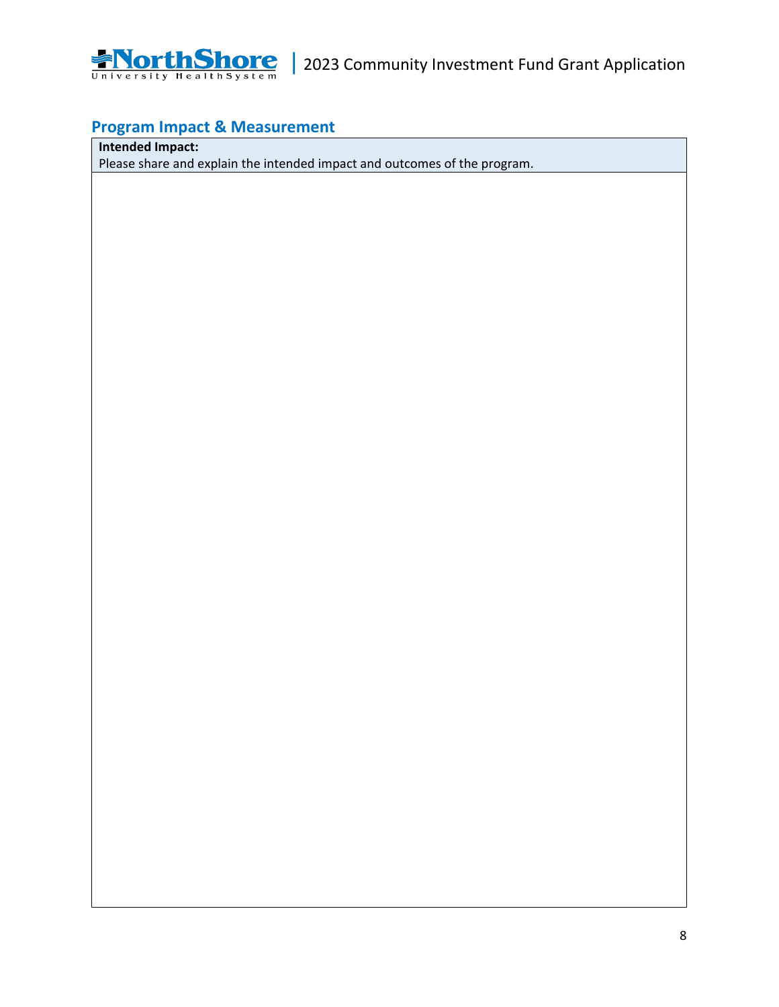

# **Program Impact & Measurement**

**Intended Impact:**

Please share and explain the intended impact and outcomes of the program.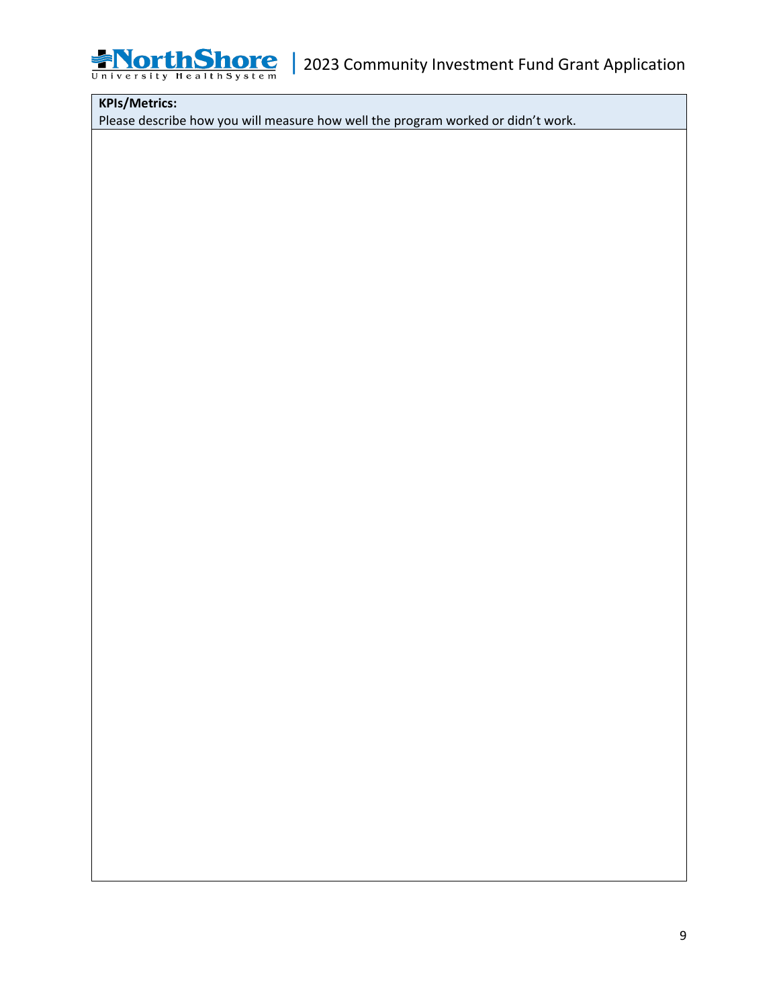

## **KPIs/Metrics:**

Please describe how you will measure how well the program worked or didn't work.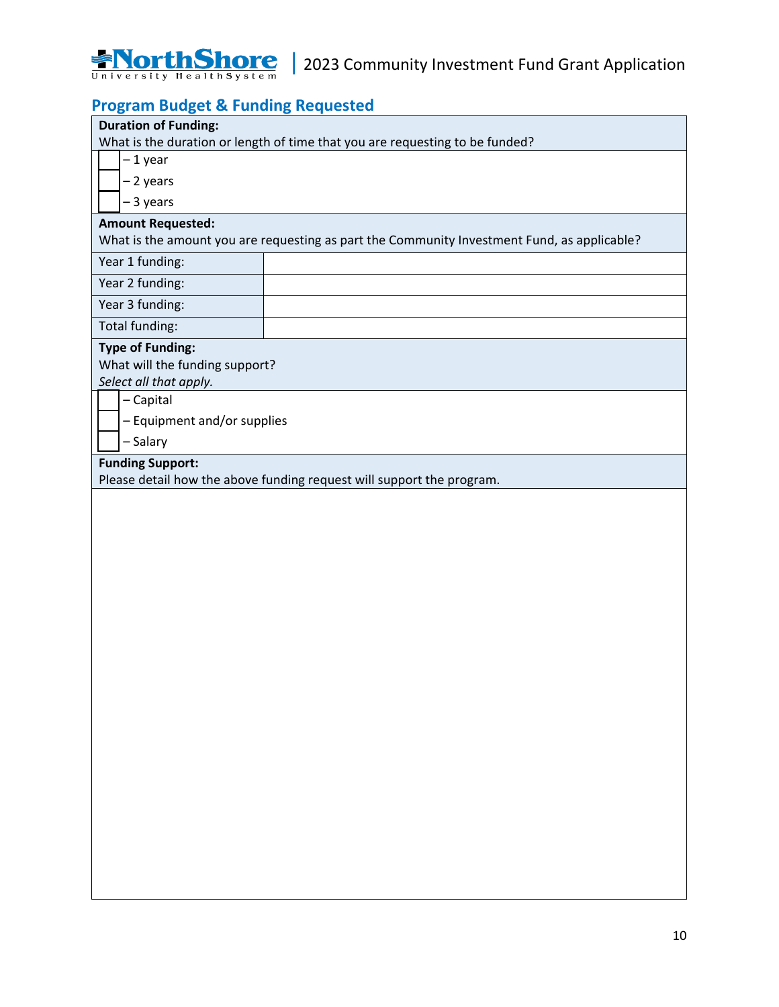

## **Program Budget & Funding Requested**

| <b>Duration of Funding:</b><br>What is the duration or length of time that you are requesting to be funded? |                                                                       |  |
|-------------------------------------------------------------------------------------------------------------|-----------------------------------------------------------------------|--|
| - 1 year                                                                                                    |                                                                       |  |
| - 2 years                                                                                                   |                                                                       |  |
| -3 years                                                                                                    |                                                                       |  |
| <b>Amount Requested:</b>                                                                                    |                                                                       |  |
| What is the amount you are requesting as part the Community Investment Fund, as applicable?                 |                                                                       |  |
| Year 1 funding:                                                                                             |                                                                       |  |
| Year 2 funding:                                                                                             |                                                                       |  |
| Year 3 funding:                                                                                             |                                                                       |  |
| Total funding:                                                                                              |                                                                       |  |
| <b>Type of Funding:</b>                                                                                     |                                                                       |  |
| What will the funding support?                                                                              |                                                                       |  |
| Select all that apply.                                                                                      |                                                                       |  |
| - Capital                                                                                                   |                                                                       |  |
| - Equipment and/or supplies                                                                                 |                                                                       |  |
| - Salary                                                                                                    |                                                                       |  |
| <b>Funding Support:</b>                                                                                     | Please detail how the above funding request will support the program. |  |
|                                                                                                             |                                                                       |  |
|                                                                                                             |                                                                       |  |
|                                                                                                             |                                                                       |  |
|                                                                                                             |                                                                       |  |
|                                                                                                             |                                                                       |  |
|                                                                                                             |                                                                       |  |
|                                                                                                             |                                                                       |  |
|                                                                                                             |                                                                       |  |
|                                                                                                             |                                                                       |  |
|                                                                                                             |                                                                       |  |
|                                                                                                             |                                                                       |  |
|                                                                                                             |                                                                       |  |
|                                                                                                             |                                                                       |  |
|                                                                                                             |                                                                       |  |
|                                                                                                             |                                                                       |  |
|                                                                                                             |                                                                       |  |
|                                                                                                             |                                                                       |  |
|                                                                                                             |                                                                       |  |
|                                                                                                             |                                                                       |  |
|                                                                                                             |                                                                       |  |
|                                                                                                             |                                                                       |  |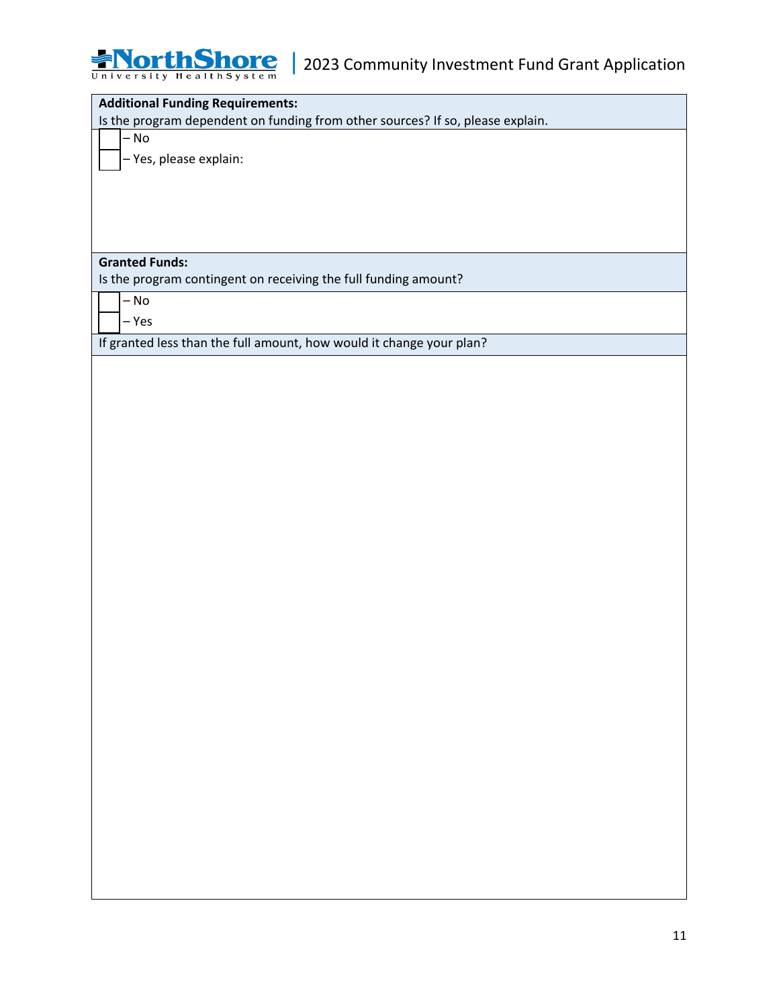

| <b>Additional Funding Requirements:</b>                                        |
|--------------------------------------------------------------------------------|
| Is the program dependent on funding from other sources? If so, please explain. |
| $-$ No                                                                         |
| - Yes, please explain:                                                         |
|                                                                                |
|                                                                                |
|                                                                                |
|                                                                                |
|                                                                                |
| <b>Granted Funds:</b>                                                          |
| Is the program contingent on receiving the full funding amount?                |
| $-$ No                                                                         |
| $-$ Yes                                                                        |
| If granted less than the full amount, how would it change your plan?           |
|                                                                                |
|                                                                                |
|                                                                                |
|                                                                                |
|                                                                                |
|                                                                                |
|                                                                                |
|                                                                                |
|                                                                                |
|                                                                                |
|                                                                                |
|                                                                                |
|                                                                                |
|                                                                                |
|                                                                                |
|                                                                                |
|                                                                                |
|                                                                                |
|                                                                                |
|                                                                                |
|                                                                                |
|                                                                                |
|                                                                                |
|                                                                                |
|                                                                                |
|                                                                                |
|                                                                                |
|                                                                                |
|                                                                                |
|                                                                                |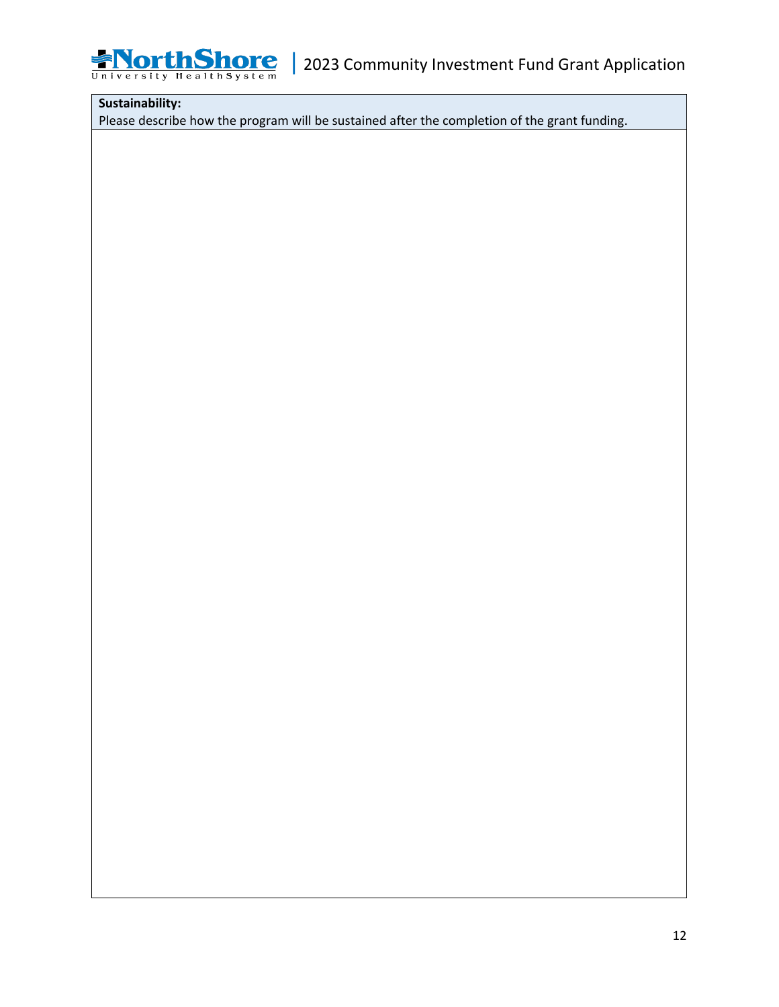

### **Sustainability:**

Please describe how the program will be sustained after the completion of the grant funding.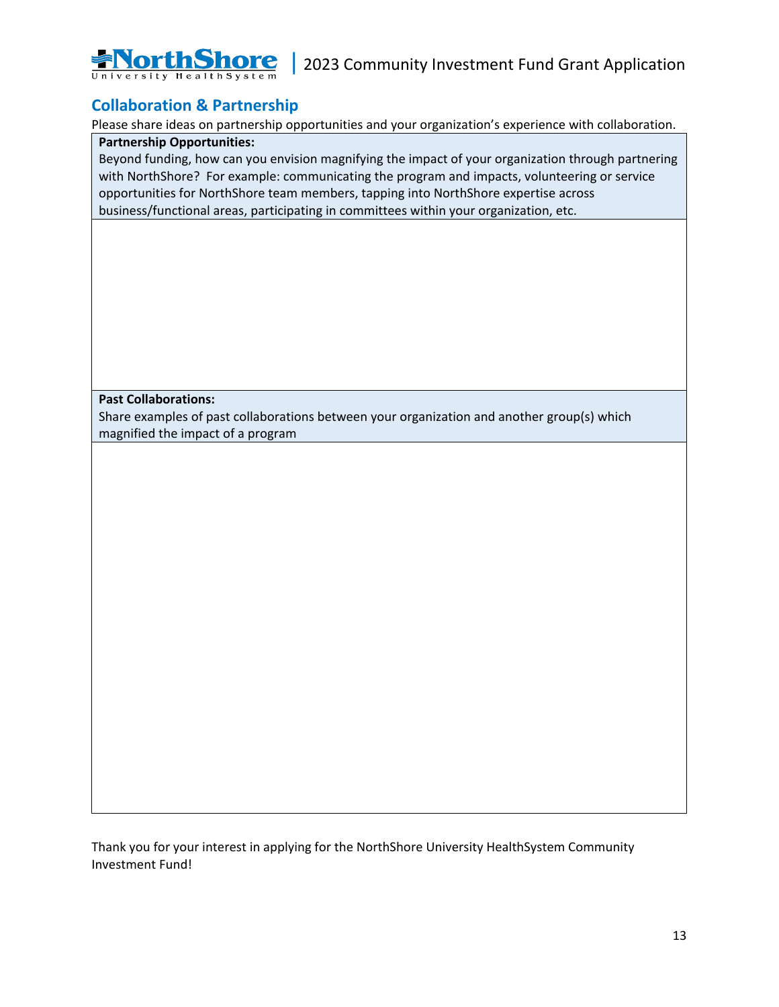

## **Collaboration & Partnership**

Please share ideas on partnership opportunities and your organization's experience with collaboration.

### **Partnership Opportunities:**

Beyond funding, how can you envision magnifying the impact of your organization through partnering with NorthShore? For example: communicating the program and impacts, volunteering or service opportunities for NorthShore team members, tapping into NorthShore expertise across business/functional areas, participating in committees within your organization, etc.

**Past Collaborations:**

Share examples of past collaborations between your organization and another group(s) which magnified the impact of a program

Thank you for your interest in applying for the NorthShore University HealthSystem Community Investment Fund!